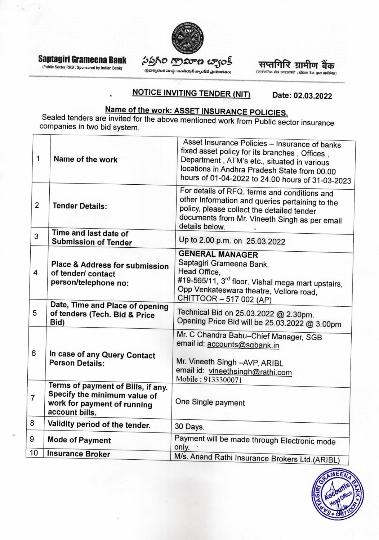

Saptagiri Grameena Bank

(Public Sector RRB : Sponsored by Indian Bank)

## సప్తగిరి గ్రామాణ బ్యాంక్

(ప్రభుత్వరంగ సంస్థ : ఇండియన్ బ్యాంక్**చే ప్రాయో**జితం)

सप्तगिरि ग्रामीण बैंक

(सार्वजनिक क्षेत्र आरआरबी : इंडियन बैंक द्वारा प्रायोजित)

#### **NOTICE INVITING TENDER (NIT)** Date: 02.03.2022

Name of the work: ASSET INSURANCE POLICIES.<br>Sealed tenders are invited for the above mentioned work from Public sector insurance companies in two bid system.

| 1              | Name of the work                                                                                                    | Asset Insurance Policies - Insurance of banks<br>fixed asset policy for its branches, Offices,<br>Department, ATM's etc., situated in various<br>locations in Andhra Pradesh State from 00.00<br>hours of 01-04-2022 to 24.00 hours of 31-03-2023 |
|----------------|---------------------------------------------------------------------------------------------------------------------|---------------------------------------------------------------------------------------------------------------------------------------------------------------------------------------------------------------------------------------------------|
| $\overline{2}$ | <b>Tender Details:</b>                                                                                              | For details of RFQ, terms and conditions and<br>other Information and queries pertaining to the<br>policy, please collect the detailed tender<br>documents from Mr. Vineeth Singh as per email<br>details below.                                  |
| 3              | Time and last date of<br><b>Submission of Tender</b>                                                                | Up to 2.00 p.m. on 25.03.2022                                                                                                                                                                                                                     |
| 4              | Place & Address for submission<br>of tender/ contact<br>person/telephone no:                                        | <b>GENERAL MANAGER</b><br>Saptagiri Grameena Bank,<br>Head Office,<br>#19-565/11, 3 <sup>rd</sup> floor, Vishal mega mart upstairs,<br>Opp Venkateswara theatre, Vellore road,<br>CHITTOOR - 517 002 (AP)                                         |
| 5              | Date, Time and Place of opening<br>of tenders (Tech. Bid & Price<br>Bid)                                            | Technical Bid on 25.03.2022 @ 2.30pm.<br>Opening Price Bid will be 25.03.2022 @ 3.00pm                                                                                                                                                            |
| 6              | In case of any Query Contact<br><b>Person Details:</b>                                                              | Mr. C Chandra Babu-Chief Manager, SGB<br>email id: accounts@sgbank.in<br>Mr. Vineeth Singh -AVP, ARIBL<br>email id: vineethsingh@rathi.com<br>Mobile: 9133300071                                                                                  |
| $\overline{7}$ | Terms of payment of Bills, if any.<br>Specify the minimum value of<br>work for payment of running<br>account bills. | One Single payment                                                                                                                                                                                                                                |
| 8              | Validity period of the tender.                                                                                      | 30 Days.                                                                                                                                                                                                                                          |
| 9              | <b>Mode of Payment</b>                                                                                              | Payment will be made through Electronic mode<br>only.                                                                                                                                                                                             |
| 10             | <b>Insurance Broker</b>                                                                                             | M/s. Anand Rathi Insurance Brokers I td (ARIRL)                                                                                                                                                                                                   |